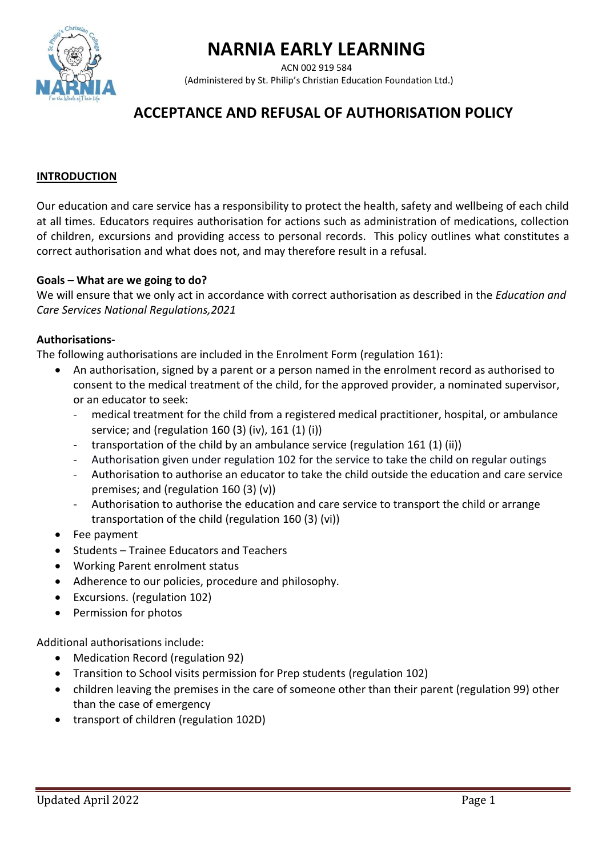# **NARNIA EARLY LEARNING**

ACN 002 919 584



(Administered by St. Philip's Christian Education Foundation Ltd.)

# **ACCEPTANCE AND REFUSAL OF AUTHORISATION POLICY**

#### **INTRODUCTION**

Our education and care service has a responsibility to protect the health, safety and wellbeing of each child at all times. Educators requires authorisation for actions such as administration of medications, collection of children, excursions and providing access to personal records. This policy outlines what constitutes a correct authorisation and what does not, and may therefore result in a refusal.

#### **Goals – What are we going to do?**

We will ensure that we only act in accordance with correct authorisation as described in the *Education and Care Services National Regulations,2021*

#### **Authorisations-**

The following authorisations are included in the Enrolment Form (regulation 161):

- An authorisation, signed by a parent or a person named in the enrolment record as authorised to consent to the medical treatment of the child, for the approved provider, a nominated supervisor, or an educator to seek:
	- medical treatment for the child from a registered medical practitioner, hospital, or ambulance service; and (regulation 160 (3) (iv), 161 (1) (i))
	- transportation of the child by an ambulance service (regulation 161 (1) (ii))
	- Authorisation given under regulation 102 for the service to take the child on regular outings
	- Authorisation to authorise an educator to take the child outside the education and care service premises; and (regulation 160 (3) (v))
	- Authorisation to authorise the education and care service to transport the child or arrange transportation of the child (regulation 160 (3) (vi))
- Fee payment
- Students Trainee Educators and Teachers
- Working Parent enrolment status
- Adherence to our policies, procedure and philosophy.
- Excursions. (regulation 102)
- Permission for photos

Additional authorisations include:

- Medication Record (regulation 92)
- Transition to School visits permission for Prep students (regulation 102)
- children leaving the premises in the care of someone other than their parent (regulation 99) other than the case of emergency
- transport of children (regulation 102D)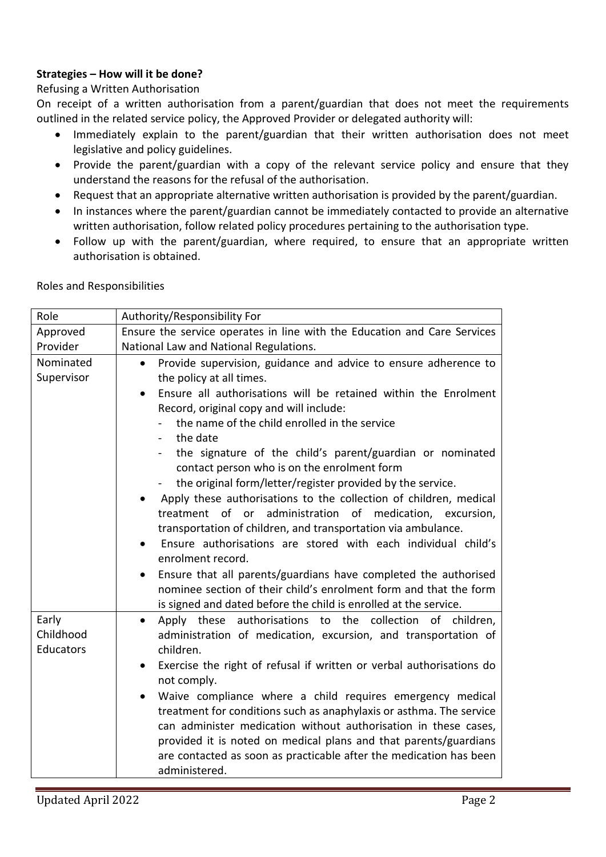# **Strategies – How will it be done?**

# Refusing a Written Authorisation

On receipt of a written authorisation from a parent/guardian that does not meet the requirements outlined in the related service policy, the Approved Provider or delegated authority will:

- Immediately explain to the parent/guardian that their written authorisation does not meet legislative and policy guidelines.
- Provide the parent/guardian with a copy of the relevant service policy and ensure that they understand the reasons for the refusal of the authorisation.
- Request that an appropriate alternative written authorisation is provided by the parent/guardian.
- In instances where the parent/guardian cannot be immediately contacted to provide an alternative written authorisation, follow related policy procedures pertaining to the authorisation type.
- Follow up with the parent/guardian, where required, to ensure that an appropriate written authorisation is obtained.

Roles and Responsibilities

| Role               | Authority/Responsibility For                                                                                                                      |
|--------------------|---------------------------------------------------------------------------------------------------------------------------------------------------|
| Approved           | Ensure the service operates in line with the Education and Care Services                                                                          |
| Provider           | National Law and National Regulations.                                                                                                            |
| Nominated          | Provide supervision, guidance and advice to ensure adherence to<br>$\bullet$                                                                      |
| Supervisor         | the policy at all times.                                                                                                                          |
|                    | Ensure all authorisations will be retained within the Enrolment<br>$\bullet$                                                                      |
|                    | Record, original copy and will include:                                                                                                           |
|                    | the name of the child enrolled in the service                                                                                                     |
|                    | the date                                                                                                                                          |
|                    | the signature of the child's parent/guardian or nominated                                                                                         |
|                    | contact person who is on the enrolment form                                                                                                       |
|                    | the original form/letter/register provided by the service.                                                                                        |
|                    | Apply these authorisations to the collection of children, medical                                                                                 |
|                    | treatment of or administration of medication, excursion,                                                                                          |
|                    | transportation of children, and transportation via ambulance.                                                                                     |
|                    | Ensure authorisations are stored with each individual child's                                                                                     |
|                    | enrolment record.                                                                                                                                 |
|                    | Ensure that all parents/guardians have completed the authorised<br>$\bullet$<br>nominee section of their child's enrolment form and that the form |
|                    |                                                                                                                                                   |
|                    | is signed and dated before the child is enrolled at the service.                                                                                  |
| Early<br>Childhood | Apply these authorisations to the collection of children,<br>$\bullet$                                                                            |
| Educators          | administration of medication, excursion, and transportation of<br>children.                                                                       |
|                    |                                                                                                                                                   |
|                    | Exercise the right of refusal if written or verbal authorisations do<br>$\bullet$<br>not comply.                                                  |
|                    | Waive compliance where a child requires emergency medical                                                                                         |
|                    | treatment for conditions such as anaphylaxis or asthma. The service                                                                               |
|                    | can administer medication without authorisation in these cases,                                                                                   |
|                    | provided it is noted on medical plans and that parents/guardians                                                                                  |
|                    | are contacted as soon as practicable after the medication has been                                                                                |
|                    | administered.                                                                                                                                     |